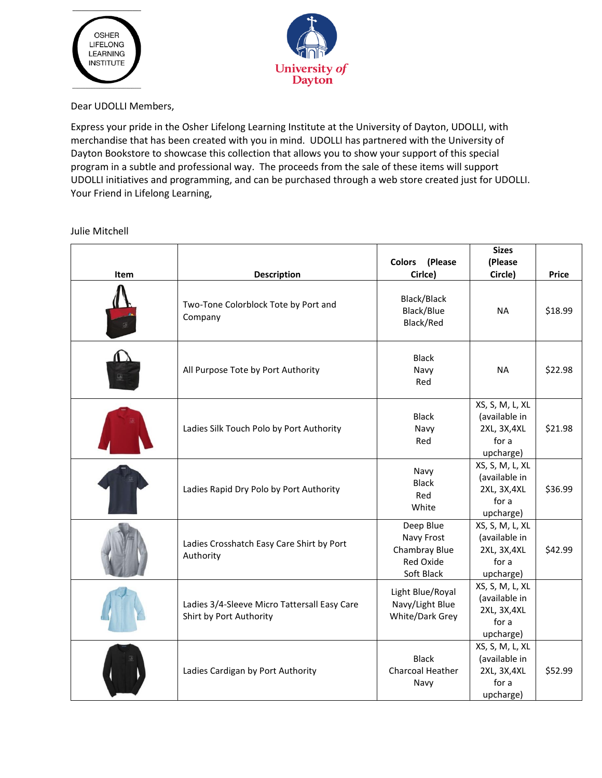



Dear UDOLLI Members,

Express your pride in the Osher Lifelong Learning Institute at the University of Dayton, UDOLLI, with merchandise that has been created with you in mind. UDOLLI has partnered with the University of Dayton Bookstore to showcase this collection that allows you to show your support of this special program in a subtle and professional way. The proceeds from the sale of these items will support UDOLLI initiatives and programming, and can be purchased through a web store created just for UDOLLI. Your Friend in Lifelong Learning,

Julie Mitchell

| Item | <b>Description</b>                                                      | Colors (Please<br>Cirlce)                                                  | <b>Sizes</b><br>(Please<br>Circle)                                     | <b>Price</b> |
|------|-------------------------------------------------------------------------|----------------------------------------------------------------------------|------------------------------------------------------------------------|--------------|
|      | Two-Tone Colorblock Tote by Port and<br>Company                         | Black/Black<br>Black/Blue<br>Black/Red                                     | <b>NA</b>                                                              | \$18.99      |
|      | All Purpose Tote by Port Authority                                      | <b>Black</b><br>Navy<br>Red                                                | <b>NA</b>                                                              | \$22.98      |
|      | Ladies Silk Touch Polo by Port Authority                                | <b>Black</b><br>Navy<br>Red                                                | XS, S, M, L, XL<br>(available in<br>2XL, 3X, 4XL<br>for a<br>upcharge) | \$21.98      |
|      | Ladies Rapid Dry Polo by Port Authority                                 | Navy<br><b>Black</b><br>Red<br>White                                       | XS, S, M, L, XL<br>(available in<br>2XL, 3X, 4XL<br>for a<br>upcharge) | \$36.99      |
|      | Ladies Crosshatch Easy Care Shirt by Port<br>Authority                  | Deep Blue<br>Navy Frost<br>Chambray Blue<br><b>Red Oxide</b><br>Soft Black | XS, S, M, L, XL<br>(available in<br>2XL, 3X, 4XL<br>for a<br>upcharge) | \$42.99      |
|      | Ladies 3/4-Sleeve Micro Tattersall Easy Care<br>Shirt by Port Authority | Light Blue/Royal<br>Navy/Light Blue<br>White/Dark Grey                     | XS, S, M, L, XL<br>(available in<br>2XL, 3X, 4XL<br>for a<br>upcharge) |              |
|      | Ladies Cardigan by Port Authority                                       | <b>Black</b><br>Charcoal Heather<br>Navy                                   | XS, S, M, L, XL<br>(available in<br>2XL, 3X, 4XL<br>for a<br>upcharge) | \$52.99      |